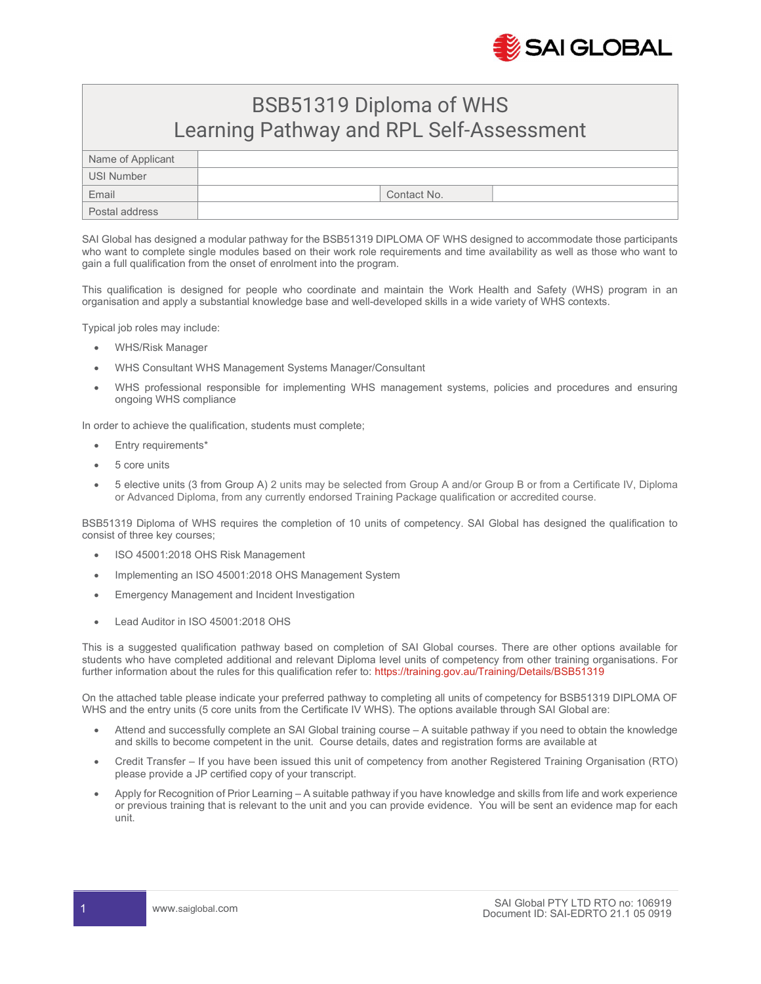

## BSB51319 Diploma of WHS Learning Pathway and RPL Self-Assessment

| Name of Applicant |             |
|-------------------|-------------|
| USI Number        |             |
| Email             | Contact No. |
| Postal address    |             |

SAI Global has designed a modular pathway for the BSB51319 DIPLOMA OF WHS designed to accommodate those participants who want to complete single modules based on their work role requirements and time availability as well as those who want to gain a full qualification from the onset of enrolment into the program.

This qualification is designed for people who coordinate and maintain the Work Health and Safety (WHS) program in an organisation and apply a substantial knowledge base and well-developed skills in a wide variety of WHS contexts.

Typical job roles may include:

- WHS/Risk Manager
- WHS Consultant WHS Management Systems Manager/Consultant
- WHS professional responsible for implementing WHS management systems, policies and procedures and ensuring ongoing WHS compliance

In order to achieve the qualification, students must complete;

- Entry requirements\*
- 5 core units
- 5 elective units (3 from Group A) 2 units may be selected from Group A and/or Group B or from a Certificate IV, Diploma or Advanced Diploma, from any currently endorsed Training Package qualification or accredited course.

BSB51319 Diploma of WHS requires the completion of 10 units of competency. SAI Global has designed the qualification to consist of three key courses;

- ISO 45001:2018 OHS Risk Management
- Implementing an ISO 45001:2018 OHS Management System
- Emergency Management and Incident Investigation
- Lead Auditor in ISO 45001:2018 OHS

This is a suggested qualification pathway based on completion of SAI Global courses. There are other options available for students who have completed additional and relevant Diploma level units of competency from other training organisations. For further information about the rules for this qualification refer to: https://training.gov.au/Training/Details/BSB51319

On the attached table please indicate your preferred pathway to completing all units of competency for BSB51319 DIPLOMA OF WHS and the entry units (5 core units from the Certificate IV WHS). The options available through SAI Global are:

- Attend and successfully complete an SAI Global training course A suitable pathway if you need to obtain the knowledge and skills to become competent in the unit. Course details, dates and registration forms are available at
- Credit Transfer If you have been issued this unit of competency from another Registered Training Organisation (RTO) please provide a JP certified copy of your transcript.
- Apply for Recognition of Prior Learning A suitable pathway if you have knowledge and skills from life and work experience or previous training that is relevant to the unit and you can provide evidence. You will be sent an evidence map for each unit.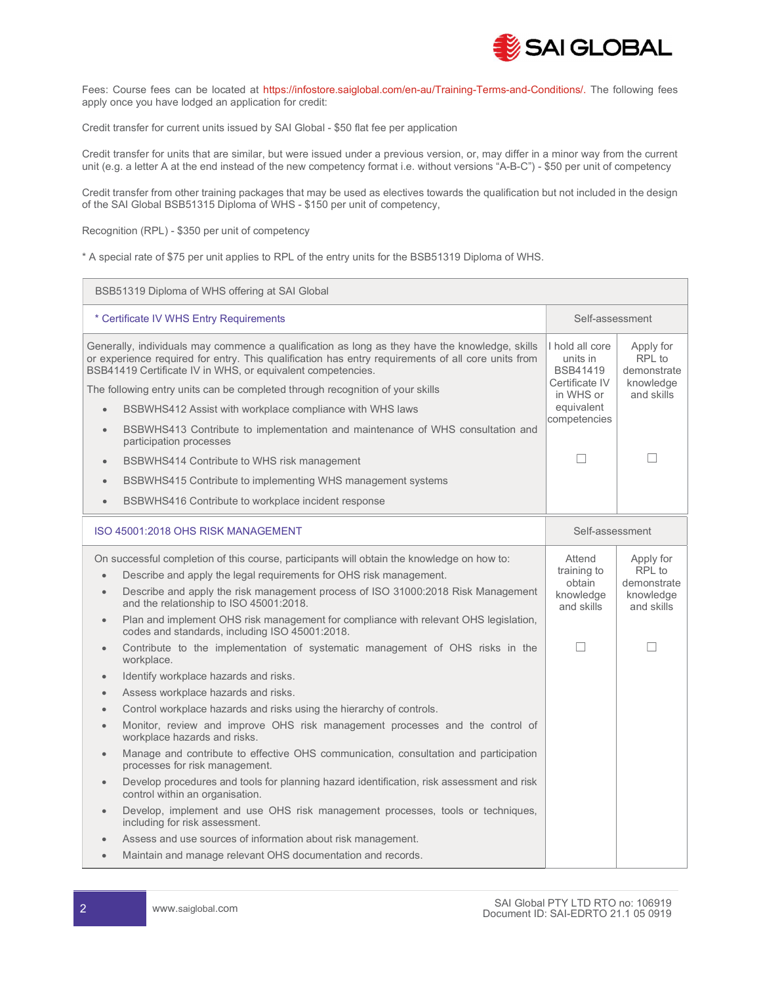

Fees: Course fees can be located at https://infostore.saiglobal.com/en-au/Training-Terms-and-Conditions/. The following fees apply once you have lodged an application for credit:

Credit transfer for current units issued by SAI Global - \$50 flat fee per application

Credit transfer for units that are similar, but were issued under a previous version, or, may differ in a minor way from the current unit (e.g. a letter A at the end instead of the new competency format i.e. without versions "A-B-C") - \$50 per unit of competency

Credit transfer from other training packages that may be used as electives towards the qualification but not included in the design of the SAI Global BSB51315 Diploma of WHS - \$150 per unit of competency,

Recognition (RPL) - \$350 per unit of competency

\* A special rate of \$75 per unit applies to RPL of the entry units for the BSB51319 Diploma of WHS.

| BSB51319 Diploma of WHS offering at SAI Global                                                                                                                                                                                                                                                                                                                                                                                                                                   |                                                                  |                                                               |  |  |  |
|----------------------------------------------------------------------------------------------------------------------------------------------------------------------------------------------------------------------------------------------------------------------------------------------------------------------------------------------------------------------------------------------------------------------------------------------------------------------------------|------------------------------------------------------------------|---------------------------------------------------------------|--|--|--|
| * Certificate IV WHS Entry Requirements                                                                                                                                                                                                                                                                                                                                                                                                                                          | Self-assessment                                                  |                                                               |  |  |  |
| Generally, individuals may commence a qualification as long as they have the knowledge, skills<br>or experience required for entry. This qualification has entry requirements of all core units from<br>BSB41419 Certificate IV in WHS, or equivalent competencies.                                                                                                                                                                                                              | I hold all core<br>units in<br><b>BSB41419</b><br>Certificate IV | Apply for<br>RPL to<br>demonstrate                            |  |  |  |
| The following entry units can be completed through recognition of your skills                                                                                                                                                                                                                                                                                                                                                                                                    |                                                                  | knowledge<br>and skills                                       |  |  |  |
| BSBWHS412 Assist with workplace compliance with WHS laws<br>$\bullet$                                                                                                                                                                                                                                                                                                                                                                                                            |                                                                  |                                                               |  |  |  |
| BSBWHS413 Contribute to implementation and maintenance of WHS consultation and<br>$\bullet$<br>participation processes                                                                                                                                                                                                                                                                                                                                                           | competencies                                                     |                                                               |  |  |  |
| BSBWHS414 Contribute to WHS risk management<br>$\bullet$                                                                                                                                                                                                                                                                                                                                                                                                                         |                                                                  | П                                                             |  |  |  |
| BSBWHS415 Contribute to implementing WHS management systems                                                                                                                                                                                                                                                                                                                                                                                                                      |                                                                  |                                                               |  |  |  |
| BSBWHS416 Contribute to workplace incident response<br>$\bullet$                                                                                                                                                                                                                                                                                                                                                                                                                 |                                                                  |                                                               |  |  |  |
| ISO 45001:2018 OHS RISK MANAGEMENT                                                                                                                                                                                                                                                                                                                                                                                                                                               |                                                                  | Self-assessment                                               |  |  |  |
| On successful completion of this course, participants will obtain the knowledge on how to:<br>Describe and apply the legal requirements for OHS risk management.<br>$\bullet$<br>Describe and apply the risk management process of ISO 31000:2018 Risk Management<br>$\bullet$<br>and the relationship to ISO 45001:2018.<br>Plan and implement OHS risk management for compliance with relevant OHS legislation,<br>$\bullet$<br>codes and standards, including ISO 45001:2018. | Attend<br>training to<br>obtain<br>knowledge<br>and skills       | Apply for<br>RPL to<br>demonstrate<br>knowledge<br>and skills |  |  |  |
| Contribute to the implementation of systematic management of OHS risks in the<br>$\bullet$<br>workplace.<br>Identify workplace hazards and risks.<br>$\bullet$                                                                                                                                                                                                                                                                                                                   | П                                                                | $\overline{\phantom{a}}$                                      |  |  |  |
| Assess workplace hazards and risks.                                                                                                                                                                                                                                                                                                                                                                                                                                              |                                                                  |                                                               |  |  |  |
| Control workplace hazards and risks using the hierarchy of controls.                                                                                                                                                                                                                                                                                                                                                                                                             |                                                                  |                                                               |  |  |  |
| Monitor, review and improve OHS risk management processes and the control of<br>workplace hazards and risks.                                                                                                                                                                                                                                                                                                                                                                     |                                                                  |                                                               |  |  |  |
|                                                                                                                                                                                                                                                                                                                                                                                                                                                                                  |                                                                  |                                                               |  |  |  |
| Manage and contribute to effective OHS communication, consultation and participation<br>$\bullet$<br>processes for risk management.                                                                                                                                                                                                                                                                                                                                              |                                                                  |                                                               |  |  |  |
| Develop procedures and tools for planning hazard identification, risk assessment and risk<br>control within an organisation.                                                                                                                                                                                                                                                                                                                                                     |                                                                  |                                                               |  |  |  |
| Develop, implement and use OHS risk management processes, tools or techniques,<br>$\bullet$<br>including for risk assessment.                                                                                                                                                                                                                                                                                                                                                    |                                                                  |                                                               |  |  |  |
| Assess and use sources of information about risk management.                                                                                                                                                                                                                                                                                                                                                                                                                     |                                                                  |                                                               |  |  |  |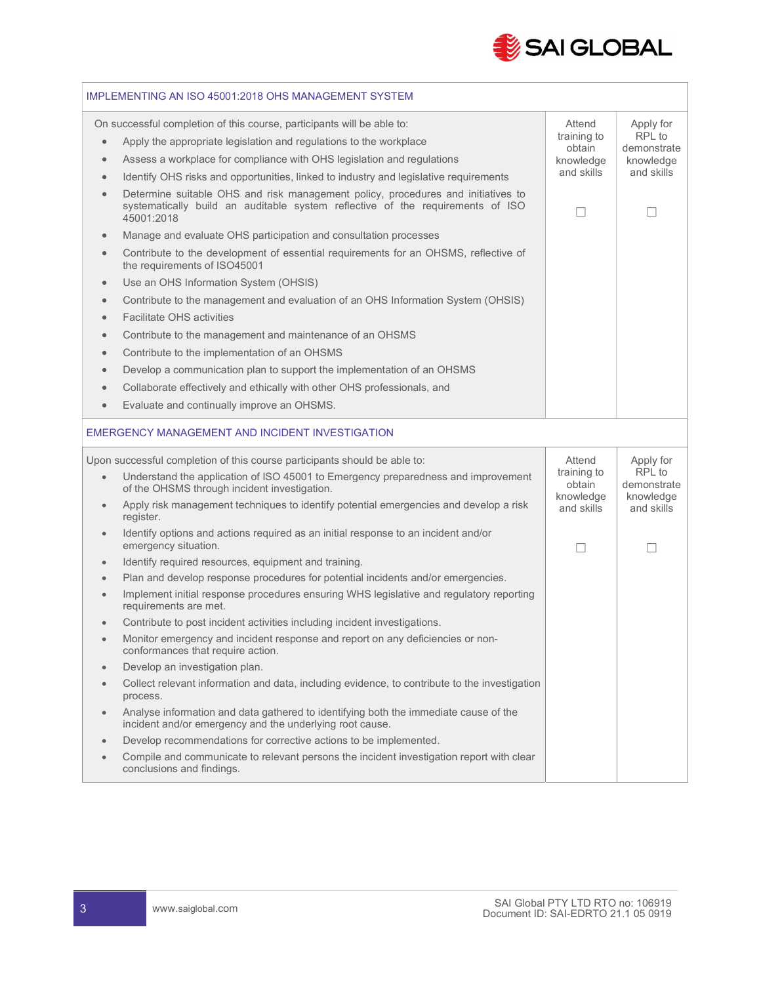

| IMPLEMENTING AN ISO 45001:2018 OHS MANAGEMENT SYSTEM                                                                                                     |                                                                                                                                                                                                                                                                                                                                                                                                                                                                                                                                                                                                                                                                                                                                                                                                                                                                                                                                                                                                                                                                                                                                  |                                                            |                                                               |  |  |  |
|----------------------------------------------------------------------------------------------------------------------------------------------------------|----------------------------------------------------------------------------------------------------------------------------------------------------------------------------------------------------------------------------------------------------------------------------------------------------------------------------------------------------------------------------------------------------------------------------------------------------------------------------------------------------------------------------------------------------------------------------------------------------------------------------------------------------------------------------------------------------------------------------------------------------------------------------------------------------------------------------------------------------------------------------------------------------------------------------------------------------------------------------------------------------------------------------------------------------------------------------------------------------------------------------------|------------------------------------------------------------|---------------------------------------------------------------|--|--|--|
| $\bullet$<br>$\bullet$<br>$\bullet$<br>$\bullet$<br>$\bullet$<br>$\bullet$<br>$\bullet$<br>$\bullet$<br>$\bullet$<br>$\bullet$<br>$\bullet$<br>$\bullet$ | On successful completion of this course, participants will be able to:<br>Apply the appropriate legislation and regulations to the workplace<br>Assess a workplace for compliance with OHS legislation and regulations<br>Identify OHS risks and opportunities, linked to industry and legislative requirements<br>Determine suitable OHS and risk management policy, procedures and initiatives to<br>systematically build an auditable system reflective of the requirements of ISO<br>45001:2018<br>Manage and evaluate OHS participation and consultation processes<br>Contribute to the development of essential requirements for an OHSMS, reflective of<br>the requirements of ISO45001<br>Use an OHS Information System (OHSIS)<br>Contribute to the management and evaluation of an OHS Information System (OHSIS)<br><b>Facilitate OHS activities</b><br>Contribute to the management and maintenance of an OHSMS<br>Contribute to the implementation of an OHSMS<br>Develop a communication plan to support the implementation of an OHSMS<br>Collaborate effectively and ethically with other OHS professionals, and | Attend<br>training to<br>obtain<br>knowledge<br>and skills | Apply for<br>RPL to<br>demonstrate<br>knowledge<br>and skills |  |  |  |
| $\bullet$                                                                                                                                                | Evaluate and continually improve an OHSMS.                                                                                                                                                                                                                                                                                                                                                                                                                                                                                                                                                                                                                                                                                                                                                                                                                                                                                                                                                                                                                                                                                       |                                                            |                                                               |  |  |  |
|                                                                                                                                                          | EMERGENCY MANAGEMENT AND INCIDENT INVESTIGATION                                                                                                                                                                                                                                                                                                                                                                                                                                                                                                                                                                                                                                                                                                                                                                                                                                                                                                                                                                                                                                                                                  |                                                            |                                                               |  |  |  |
|                                                                                                                                                          | Upon successful completion of this course participants should be able to:                                                                                                                                                                                                                                                                                                                                                                                                                                                                                                                                                                                                                                                                                                                                                                                                                                                                                                                                                                                                                                                        | Attend                                                     | Apply for<br>RPL to                                           |  |  |  |
| $\bullet$                                                                                                                                                | Understand the application of ISO 45001 to Emergency preparedness and improvement<br>of the OHSMS through incident investigation.<br>Apply risk management techniques to identify potential emergencies and develop a risk<br>register.                                                                                                                                                                                                                                                                                                                                                                                                                                                                                                                                                                                                                                                                                                                                                                                                                                                                                          | training to<br>obtain<br>knowledge<br>and skills           | demonstrate<br>knowledge<br>and skills                        |  |  |  |
| $\bullet$                                                                                                                                                | Identify options and actions required as an initial response to an incident and/or<br>emergency situation.                                                                                                                                                                                                                                                                                                                                                                                                                                                                                                                                                                                                                                                                                                                                                                                                                                                                                                                                                                                                                       |                                                            | H                                                             |  |  |  |
| $\bullet$                                                                                                                                                | Identify required resources, equipment and training.                                                                                                                                                                                                                                                                                                                                                                                                                                                                                                                                                                                                                                                                                                                                                                                                                                                                                                                                                                                                                                                                             |                                                            |                                                               |  |  |  |
| $\bullet$                                                                                                                                                | Plan and develop response procedures for potential incidents and/or emergencies.                                                                                                                                                                                                                                                                                                                                                                                                                                                                                                                                                                                                                                                                                                                                                                                                                                                                                                                                                                                                                                                 |                                                            |                                                               |  |  |  |
| $\bullet$                                                                                                                                                | Implement initial response procedures ensuring WHS legislative and regulatory reporting<br>requirements are met.                                                                                                                                                                                                                                                                                                                                                                                                                                                                                                                                                                                                                                                                                                                                                                                                                                                                                                                                                                                                                 |                                                            |                                                               |  |  |  |
|                                                                                                                                                          | Contribute to post incident activities including incident investigations.                                                                                                                                                                                                                                                                                                                                                                                                                                                                                                                                                                                                                                                                                                                                                                                                                                                                                                                                                                                                                                                        |                                                            |                                                               |  |  |  |
|                                                                                                                                                          | Monitor emergency and incident response and report on any deficiencies or non-<br>conformances that require action.                                                                                                                                                                                                                                                                                                                                                                                                                                                                                                                                                                                                                                                                                                                                                                                                                                                                                                                                                                                                              |                                                            |                                                               |  |  |  |
| $\bullet$                                                                                                                                                | Develop an investigation plan.                                                                                                                                                                                                                                                                                                                                                                                                                                                                                                                                                                                                                                                                                                                                                                                                                                                                                                                                                                                                                                                                                                   |                                                            |                                                               |  |  |  |
| $\bullet$                                                                                                                                                | Collect relevant information and data, including evidence, to contribute to the investigation<br>process.                                                                                                                                                                                                                                                                                                                                                                                                                                                                                                                                                                                                                                                                                                                                                                                                                                                                                                                                                                                                                        |                                                            |                                                               |  |  |  |
| $\bullet$                                                                                                                                                | Analyse information and data gathered to identifying both the immediate cause of the<br>incident and/or emergency and the underlying root cause.                                                                                                                                                                                                                                                                                                                                                                                                                                                                                                                                                                                                                                                                                                                                                                                                                                                                                                                                                                                 |                                                            |                                                               |  |  |  |
|                                                                                                                                                          | Develop recommendations for corrective actions to be implemented.                                                                                                                                                                                                                                                                                                                                                                                                                                                                                                                                                                                                                                                                                                                                                                                                                                                                                                                                                                                                                                                                |                                                            |                                                               |  |  |  |
|                                                                                                                                                          | Compile and communicate to relevant persons the incident investigation report with clear<br>conclusions and findings.                                                                                                                                                                                                                                                                                                                                                                                                                                                                                                                                                                                                                                                                                                                                                                                                                                                                                                                                                                                                            |                                                            |                                                               |  |  |  |